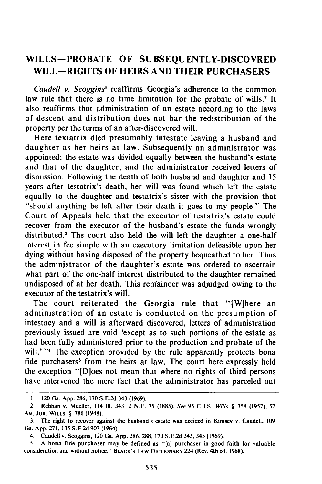## **WILLS-PROBATE OF SUBSEQUENTLY-DISCOVRED WILL-RIGHTS OF HEIRS AND THEIR PURCHASERS**

*Caudell v. Scoggins'* reaffirms Georgia's adherence to the common law rule that there is no time limitation for the probate of wills.<sup>2</sup> It also reaffirms that administration of an estate according to the laws of descent and distribution does not bar the redistribution .of the property per the terms of an after-discovered will.

Here textatrix died presumably intestate leaving a husband and daughter as her heirs at law. Subsequently an administrator was appointed; the estate was divided equally between the husband's estate and that of the daughter; and the administrator received letters of dismission. Following the death of both husband and daughter and 15 years after testatrix's death, her will was found which left the estate equally to the daughter and testatrix's sister with the provision that "should anything be left after their death it goes to my people." The Court of Appeals held that the executor of testatrix's estate could recover from the executor of the husband's estate the funds wrongly distributed.' The court also held the will left the daughter a one-half interest in fee simple with an executory limitation defeasible upon her dying without having disposed of the property bequeathed to her. Thus the administrator of the daughter's estate was ordered to ascertain what part of the one-half interest distributed to the daughter remained undisposed of at her death. This remainder was adjudged owing to the executor of the testatrix's will.

The court reiterated the Georgia rule that "[W]here an administration of an estate is conducted on the presumption of intestacy and a will is afterward discovered, letters of administration previously issued are void 'except as to such portions of the estate as had been fully administered prior to the production and probate of the will.' "<sup>4</sup> The exception provided by the rule apparently protects bona fide purchasers<sup>5</sup> from the heirs at law. The court here expressly held the exception "[D]oes not mean that where no rights of third persons have intervened the mere fact that the administrator has parceled out

I. 120 Ga. App. 286, 170 S.E.2d 343 (1969).

<sup>2.</sup> Rebhan v. Mueller, 114 **Ill.** 343, 2 N.E. 75 (1885). See 95 C.J.S. Wills *§* 358 (1957); 57 **AM. JUR. WILLS** *§* 786 (1948).

**<sup>3.</sup>** The right to recover against the husband's estate was decided in Kimsey v. Caudell, **<sup>109</sup>** Ga. **App. 271, 135 S.E.2d 903** (1964).

<sup>4.</sup> Caudell v. Scoggins, 120 Ga. **App. 286, 288, 170 S.E.2d** 343, 345 **(1969).**

<sup>5.</sup> **A** bona fide purchaser may **be** defined as "[a] purchaser in good faith for valuable consideration and without notice." **BLACK'S LAW DICTIONARY** 224 (Rev. 4th ed. **1968).**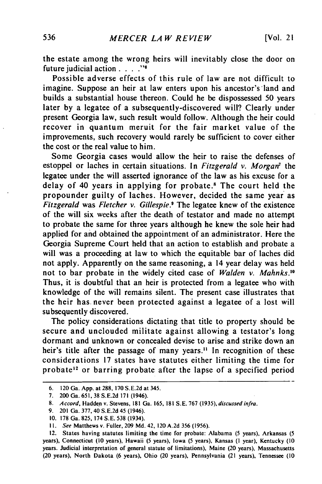the estate among the wrong heirs will inevitably close the door on future judicial action . **.. ."I**

Possible adverse effects of this rule of law are not difficult to imagine. Suppose an heir at law enters upon his ancestor's land and builds a substantial house thereon. Could he be dispossessed 50 years later by a legatee of a subsequently-discovered will? Clearly under present Georgia law, such result would follow. Although the heir could recover in quantum meruit for the fair market value of the improvements, such recovery would rarely be sufficient to cover either the cost or the real value to him.

Some Georgia cases would allow the heir to raise the defenses of estoppel or laches in certain situations. In *Fitzgerald v. Morgan<sup>t</sup>* the legatee under the will asserted ignorance of the law as his excuse for a delay of 40 years in applying for probate.<sup>8</sup> The court held the propounder guilty of laches. However, decided the same year as *Fitzgerald* was *Fletcher v. Gillespie.9* The legatee knew of the existence of the will six weeks after the death of testator and made no attempt to probate the same for three years although he knew the sole heir had applied for and obtained the appointment of an administrator. Here the Georgia Supreme Court held that an action to establish and probate a will was a proceeding at law to which the equitable bar of laches did not apply. Apparently on the same reasoning, a 14 year delay was held not to bar probate in the widely cited case of *Walden v. Mahnks.10* Thus, it is doubtful that an heir is protected from a legatee who with knowledge of the will remains silent. The present case illustrates that the heir has never been protected against a legatee of a lost will subsequently discovered.

The policy considerations dictating that title to property should be secure and unclouded militate against allowing a testator's long dormant and unknown or concealed devise to arise and strike down an heir's title after the passage of many years.<sup>11</sup> In recognition of these considerations 17 states have statutes either limiting the time for probate<sup>12</sup> or barring probate after the lapse of a specified period

**<sup>6.</sup>** 120 Ga. **App.** at **288, 170 S.E.2d** at 345.

**<sup>7.</sup>** 200 Ga. **651, 38 S.E.2d 171** (1946).

**<sup>8.</sup>** Accord, Hadden **v.** Stevens, **181** Ga. **165, 181 S.E. 767** (1935), discussed infra.

**<sup>9.</sup>** 201 Ga. **377,** 40 **S.E.2d** 45 (1946).

**<sup>10. 178</sup>** Ga. **825,** 174 **S.E. 538** (1934).

**I1.** *See* Matthews v. Fuller, **209 Md.** 42, 120 **A.2d 356 (1956).**

<sup>12.</sup> States having statutes limiting the time for probate: Alabama **(5** years), Arkansas **(5** years), Connecticut **(10** years), Hawaii **(5** years), Iowa **(5** years), Kansas **(1** year), Kentucky **(10** years. Judicial interpretation **of** general statute of limitations), Maine (20 years), Massachusetts (20 years), North Dakota **(6** years), Ohio (20 years), Pennsylvania (21 years), Tennessee **(10**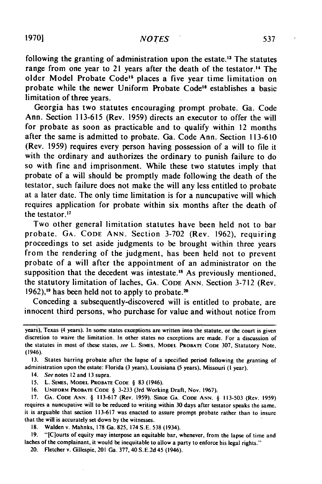following the granting of administration upon the estate.<sup>13</sup> The statutes range from one year to 21 years after the death of the testator.<sup>14</sup> The older Model Probate Code<sup>15</sup> places a five year time limitation on probate while the newer Uniform Probate Code<sup>16</sup> establishes a basic limitation of three years.

Georgia has two statutes encouraging prompt probate. Ga. Code Ann. Section **113-615** (Rev. 1959) directs an executor to offer the will for probate as soon as practicable and to qualify within 12 months after the same is admitted to probate. Ga. Code Ann. Section 113-610 (Rev. 1959) requires every person having possession of a will to file it with the ordinary and authorizes the ordinary to punish failure to do so with fine and imprisonment. While these two statutes imply that probate of a will should be promptly made following the death of the testator, such failure does not make the will any less entitled to probate at a later date. The only time limitation is for a nuncupative will which requires application for probate within six months after the death of the testator.17

Two other general limitation statutes have been held not to bar probate. **GA. CODE** ANN. Section 3-702 (Rev. 1962), requiring proceedings to set aside judgments to be brought within three years from the rendering of the judgment, has been held not to prevent probate of a will after the appointment of an administrator on the supposition that the decedent was intestate.<sup>18</sup> As previously mentioned, the statutory limitation of laches, GA. **CODE** ANN. Section 3-712 (Rev. 1962),<sup>19</sup> has been held not to apply to probate.<sup>20</sup>

Conceding a subsequently-discovered will is entitled to probate, are innocent third persons, who purchase for value and without notice from

**13.** States barring probate after the lapse of a specified period following the granting of administration upon the estate: Florida (3 years), Louisiana (5 years), Missouri **(I** year).

- 14. See notes 12 and **13** supra.
- **15.** L. **S[MES, MODEL PROBATE CODE** § **83** (1946).

**16. UNIFORM PROBATE CODE** § **3-233** (3rd Working Draft, Nov. 1967).

**17. GA. CODE ANN.** § **113-617** (Rev. 1959). Since **GA. CODE** ANN. § **113-503** (Rev. 1959) requires a nuncupative will to be reduced to writing within **30** days after testator speaks the same, it is arguable that section **113-617** was enacted to assure prompt probate rather than to insure that the will is accurately set down by the witnesses.

**18.** Walden v. Mahnks, **178** Ga. 825, 174 S.E. 538 (1934).

**19.** "[C]ourts of equity may interpose an equitable bar, whenever, from the lapse of time and laches of the complainant, it would **be** inequitable to allow a party to enforce his legal rights."

20. Fletcher v. Gillespie, 201 Ga. 377, 40 S.E.2d 45 (1946).

years), Texas (4 years). In some states exceptions are written into the statute, or the court is given discretion to waive the limitation. In other states no exceptions are made. For a discussion of the statutes in most of these states, see L. SiMEs, **MODEL PROBATE CODE** 307, Statutory Note, (1946).